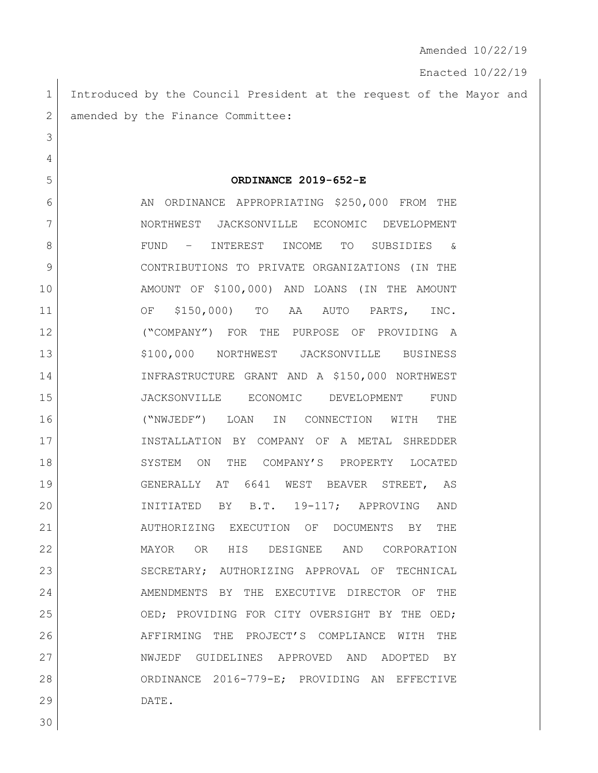Enacted 10/22/19

1 Introduced by the Council President at the request of the Mayor and 2 amended by the Finance Committee:

**ORDINANCE 2019-652-E**

6 AN ORDINANCE APPROPRIATING \$250,000 FROM THE 7 NORTHWEST JACKSONVILLE ECONOMIC DEVELOPMENT FUND – INTEREST INCOME TO SUBSIDIES & CONTRIBUTIONS TO PRIVATE ORGANIZATIONS (IN THE AMOUNT OF \$100,000) AND LOANS (IN THE AMOUNT OF \$150,000) TO AA AUTO PARTS, INC. ("COMPANY") FOR THE PURPOSE OF PROVIDING A 13 | \$100,000 NORTHWEST JACKSONVILLE BUSINESS INFRASTRUCTURE GRANT AND A \$150,000 NORTHWEST JACKSONVILLE ECONOMIC DEVELOPMENT FUND ("NWJEDF") LOAN IN CONNECTION WITH THE INSTALLATION BY COMPANY OF A METAL SHREDDER 18 SYSTEM ON THE COMPANY'S PROPERTY LOCATED GENERALLY AT 6641 WEST BEAVER STREET, AS INITIATED BY B.T. 19-117; APPROVING AND AUTHORIZING EXECUTION OF DOCUMENTS BY THE MAYOR OR HIS DESIGNEE AND CORPORATION 23 SECRETARY; AUTHORIZING APPROVAL OF TECHNICAL AMENDMENTS BY THE EXECUTIVE DIRECTOR OF THE 25 OED; PROVIDING FOR CITY OVERSIGHT BY THE OED; AFFIRMING THE PROJECT'S COMPLIANCE WITH THE NWJEDF GUIDELINES APPROVED AND ADOPTED BY ORDINANCE 2016-779-E; PROVIDING AN EFFECTIVE DATE.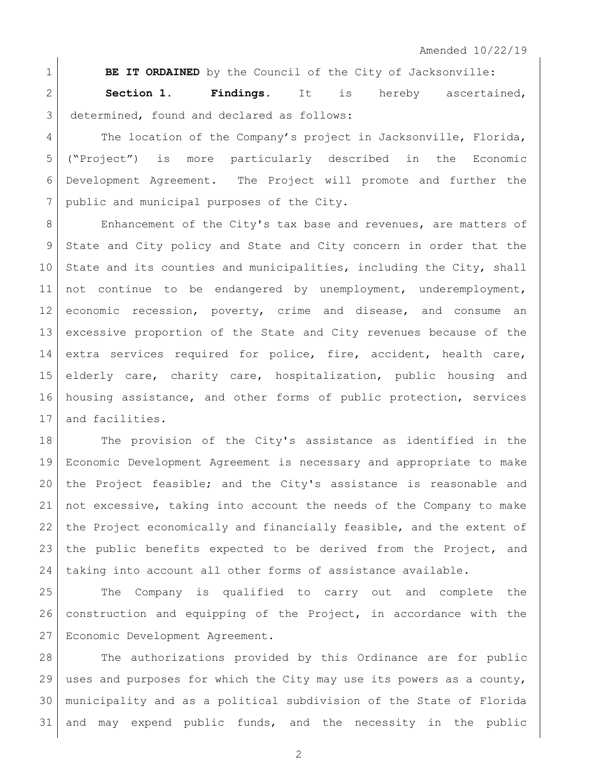**BE IT ORDAINED** by the Council of the City of Jacksonville: **Section 1. Findings**. It is hereby ascertained, 3 determined, found and declared as follows:

4 The location of the Company's project in Jacksonville, Florida, ("Project") is more particularly described in the Economic Development Agreement. The Project will promote and further the 7 public and municipal purposes of the City.

8 Enhancement of the City's tax base and revenues, are matters of State and City policy and State and City concern in order that the 10 State and its counties and municipalities, including the City, shall 11 | not continue to be endangered by unemployment, underemployment, economic recession, poverty, crime and disease, and consume an excessive proportion of the State and City revenues because of the 14 extra services required for police, fire, accident, health care, 15 elderly care, charity care, hospitalization, public housing and 16 housing assistance, and other forms of public protection, services 17 and facilities.

18 The provision of the City's assistance as identified in the Economic Development Agreement is necessary and appropriate to make the Project feasible; and the City's assistance is reasonable and not excessive, taking into account the needs of the Company to make the Project economically and financially feasible, and the extent of the public benefits expected to be derived from the Project, and taking into account all other forms of assistance available.

 The Company is qualified to carry out and complete the construction and equipping of the Project, in accordance with the Economic Development Agreement.

 The authorizations provided by this Ordinance are for public uses and purposes for which the City may use its powers as a county, municipality and as a political subdivision of the State of Florida and may expend public funds, and the necessity in the public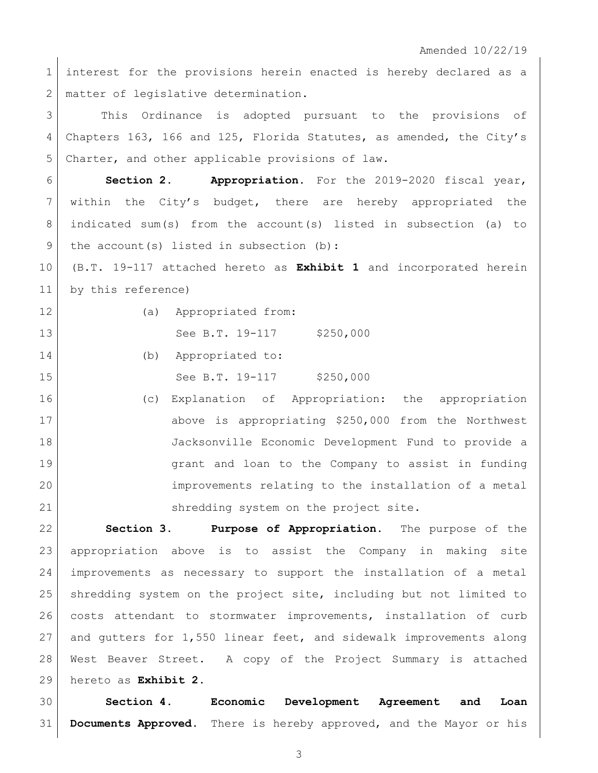1 interest for the provisions herein enacted is hereby declared as a 2 | matter of legislative determination.

 This Ordinance is adopted pursuant to the provisions of Chapters 163, 166 and 125, Florida Statutes, as amended, the City's Charter, and other applicable provisions of law.

 **Section 2. Appropriation.** For the 2019-2020 fiscal year, within the City's budget, there are hereby appropriated the 8 | indicated sum(s) from the account(s) listed in subsection (a) to 9 | the account (s) listed in subsection (b):

 (B.T. 19-117 attached hereto as **Exhibit 1** and incorporated herein by this reference)

(a) Appropriated from:

13 See B.T. 19-117 \$250,000

- 14 (b) Appropriated to: 15 See B.T. 19-117 \$250,000
- (c) Explanation of Appropriation: the appropriation above is appropriating \$250,000 from the Northwest Jacksonville Economic Development Fund to provide a grant and loan to the Company to assist in funding improvements relating to the installation of a metal shredding system on the project site.

 **Section 3. Purpose of Appropriation.** The purpose of the appropriation above is to assist the Company in making site improvements as necessary to support the installation of a metal shredding system on the project site, including but not limited to 26 | costs attendant to stormwater improvements, installation of curb and gutters for 1,550 linear feet, and sidewalk improvements along West Beaver Street. A copy of the Project Summary is attached hereto as **Exhibit 2**.

 **Section 4. Economic Development Agreement and Loan Documents Approved**. There is hereby approved, and the Mayor or his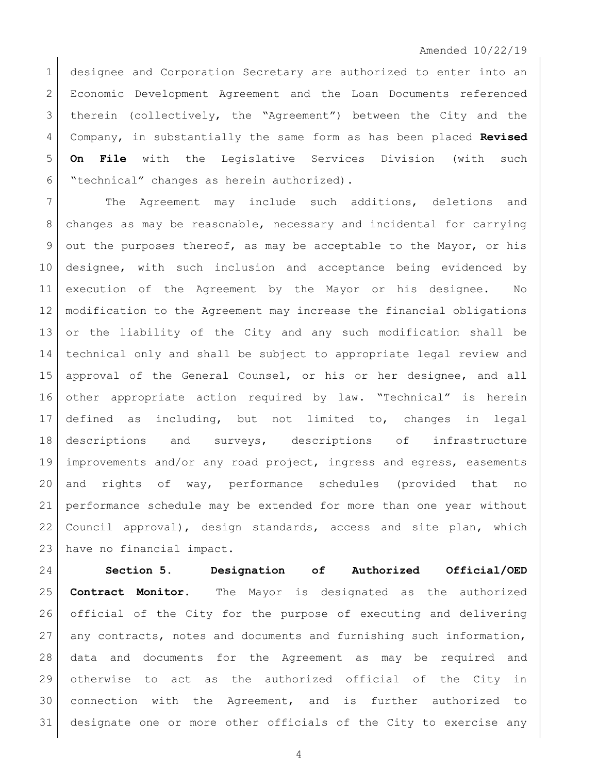designee and Corporation Secretary are authorized to enter into an Economic Development Agreement and the Loan Documents referenced therein (collectively, the "Agreement") between the City and the Company, in substantially the same form as has been placed **Revised On File** with the Legislative Services Division (with such "technical" changes as herein authorized).

7 The Agreement may include such additions, deletions and changes as may be reasonable, necessary and incidental for carrying 9 out the purposes thereof, as may be acceptable to the Mayor, or his designee, with such inclusion and acceptance being evidenced by execution of the Agreement by the Mayor or his designee. No modification to the Agreement may increase the financial obligations or the liability of the City and any such modification shall be technical only and shall be subject to appropriate legal review and approval of the General Counsel, or his or her designee, and all other appropriate action required by law. "Technical" is herein defined as including, but not limited to, changes in legal descriptions and surveys, descriptions of infrastructure improvements and/or any road project, ingress and egress, easements and rights of way, performance schedules (provided that no performance schedule may be extended for more than one year without Council approval), design standards, access and site plan, which have no financial impact.

 **Section 5. Designation of Authorized Official/OED Contract Monitor.** The Mayor is designated as the authorized official of the City for the purpose of executing and delivering 27 any contracts, notes and documents and furnishing such information, data and documents for the Agreement as may be required and otherwise to act as the authorized official of the City in connection with the Agreement, and is further authorized to designate one or more other officials of the City to exercise any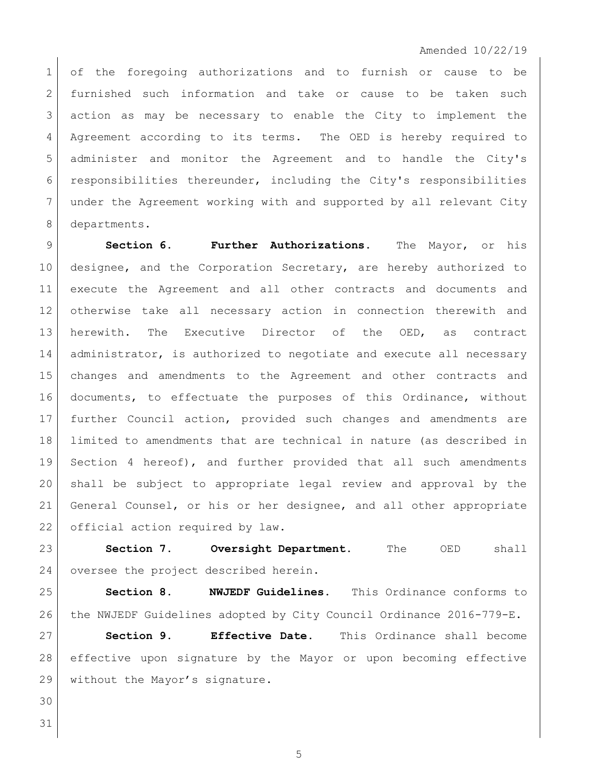1 of the foregoing authorizations and to furnish or cause to be 2 furnished such information and take or cause to be taken such action as may be necessary to enable the City to implement the Agreement according to its terms. The OED is hereby required to administer and monitor the Agreement and to handle the City's responsibilities thereunder, including the City's responsibilities under the Agreement working with and supported by all relevant City 8 departments.

 **Section 6. Further Authorizations.** The Mayor, or his designee, and the Corporation Secretary, are hereby authorized to execute the Agreement and all other contracts and documents and otherwise take all necessary action in connection therewith and herewith. The Executive Director of the OED, as contract 14 | administrator, is authorized to negotiate and execute all necessary changes and amendments to the Agreement and other contracts and 16 documents, to effectuate the purposes of this Ordinance, without further Council action, provided such changes and amendments are limited to amendments that are technical in nature (as described in Section 4 hereof), and further provided that all such amendments shall be subject to appropriate legal review and approval by the 21 General Counsel, or his or her designee, and all other appropriate 22 official action required by law.

 **Section 7. Oversight Department.** The OED shall 24 oversee the project described herein.

 **Section 8. NWJEDF Guidelines.** This Ordinance conforms to 26 the NWJEDF Guidelines adopted by City Council Ordinance 2016-779-E.

 **Section 9. Effective Date.** This Ordinance shall become effective upon signature by the Mayor or upon becoming effective 29 without the Mayor's signature.